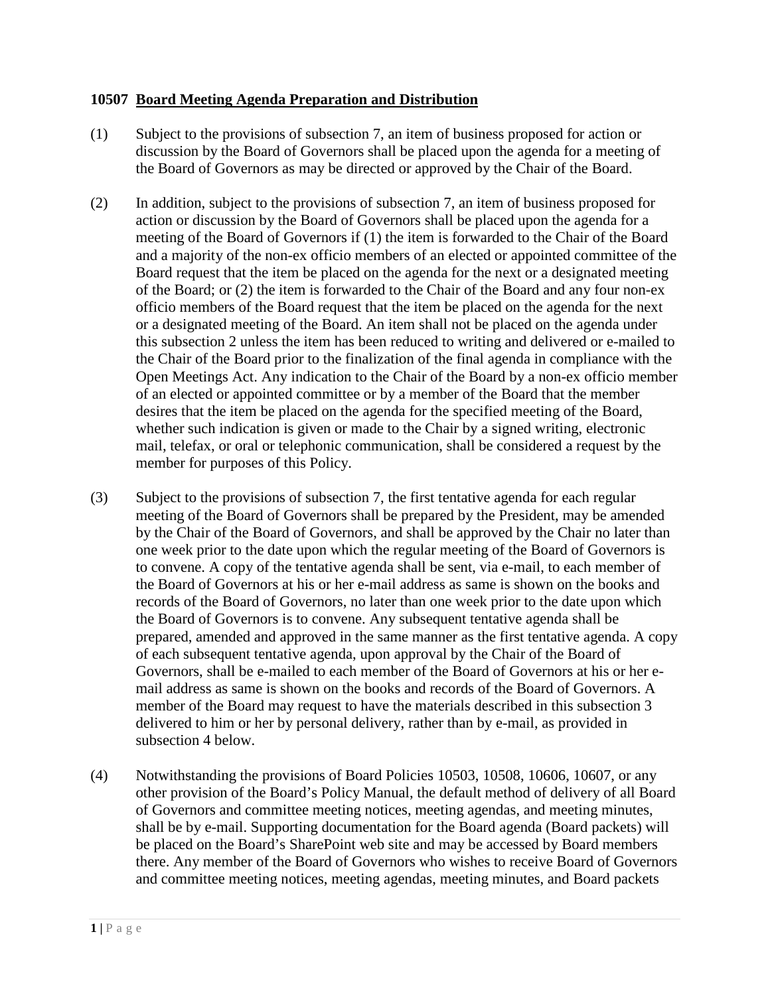## **10507 Board Meeting Agenda Preparation and Distribution**

- (1) Subject to the provisions of subsection 7, an item of business proposed for action or discussion by the Board of Governors shall be placed upon the agenda for a meeting of the Board of Governors as may be directed or approved by the Chair of the Board.
- (2) In addition, subject to the provisions of subsection 7, an item of business proposed for action or discussion by the Board of Governors shall be placed upon the agenda for a meeting of the Board of Governors if (1) the item is forwarded to the Chair of the Board and a majority of the non-ex officio members of an elected or appointed committee of the Board request that the item be placed on the agenda for the next or a designated meeting of the Board; or (2) the item is forwarded to the Chair of the Board and any four non-ex officio members of the Board request that the item be placed on the agenda for the next or a designated meeting of the Board. An item shall not be placed on the agenda under this subsection 2 unless the item has been reduced to writing and delivered or e-mailed to the Chair of the Board prior to the finalization of the final agenda in compliance with the Open Meetings Act. Any indication to the Chair of the Board by a non-ex officio member of an elected or appointed committee or by a member of the Board that the member desires that the item be placed on the agenda for the specified meeting of the Board, whether such indication is given or made to the Chair by a signed writing, electronic mail, telefax, or oral or telephonic communication, shall be considered a request by the member for purposes of this Policy.
- (3) Subject to the provisions of subsection 7, the first tentative agenda for each regular meeting of the Board of Governors shall be prepared by the President, may be amended by the Chair of the Board of Governors, and shall be approved by the Chair no later than one week prior to the date upon which the regular meeting of the Board of Governors is to convene. A copy of the tentative agenda shall be sent, via e-mail, to each member of the Board of Governors at his or her e-mail address as same is shown on the books and records of the Board of Governors, no later than one week prior to the date upon which the Board of Governors is to convene. Any subsequent tentative agenda shall be prepared, amended and approved in the same manner as the first tentative agenda. A copy of each subsequent tentative agenda, upon approval by the Chair of the Board of Governors, shall be e-mailed to each member of the Board of Governors at his or her email address as same is shown on the books and records of the Board of Governors. A member of the Board may request to have the materials described in this subsection 3 delivered to him or her by personal delivery, rather than by e-mail, as provided in subsection 4 below.
- (4) Notwithstanding the provisions of Board Policies 10503, 10508, 10606, 10607, or any other provision of the Board's Policy Manual, the default method of delivery of all Board of Governors and committee meeting notices, meeting agendas, and meeting minutes, shall be by e-mail. Supporting documentation for the Board agenda (Board packets) will be placed on the Board's SharePoint web site and may be accessed by Board members there. Any member of the Board of Governors who wishes to receive Board of Governors and committee meeting notices, meeting agendas, meeting minutes, and Board packets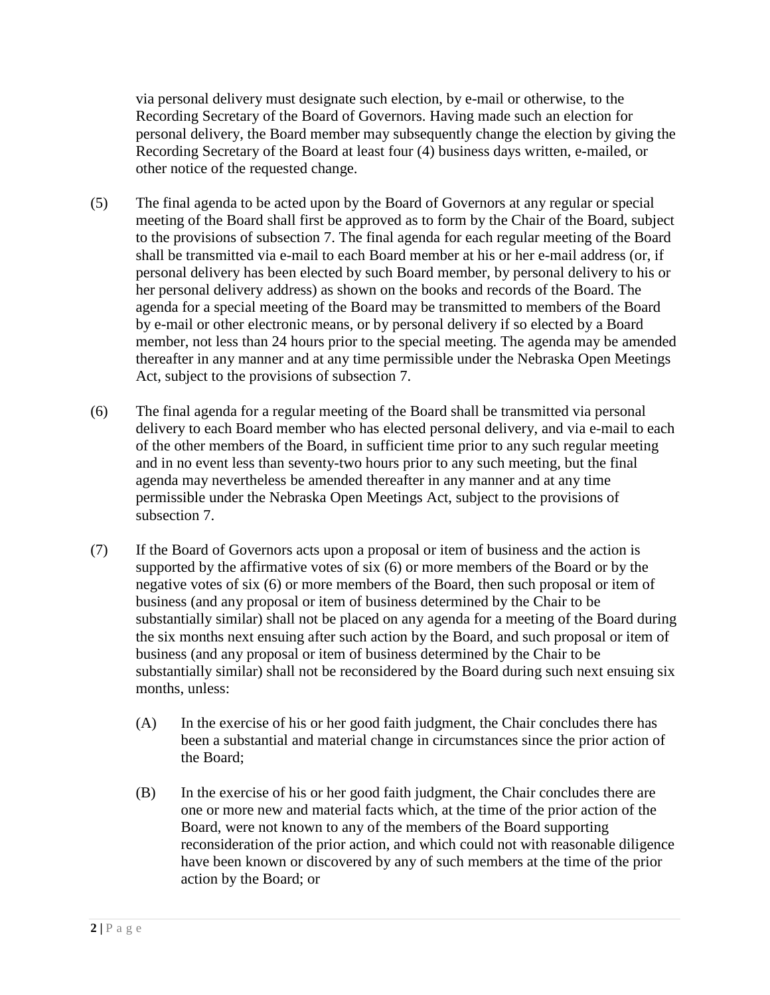via personal delivery must designate such election, by e-mail or otherwise, to the Recording Secretary of the Board of Governors. Having made such an election for personal delivery, the Board member may subsequently change the election by giving the Recording Secretary of the Board at least four (4) business days written, e-mailed, or other notice of the requested change.

- (5) The final agenda to be acted upon by the Board of Governors at any regular or special meeting of the Board shall first be approved as to form by the Chair of the Board, subject to the provisions of subsection 7. The final agenda for each regular meeting of the Board shall be transmitted via e-mail to each Board member at his or her e-mail address (or, if personal delivery has been elected by such Board member, by personal delivery to his or her personal delivery address) as shown on the books and records of the Board. The agenda for a special meeting of the Board may be transmitted to members of the Board by e-mail or other electronic means, or by personal delivery if so elected by a Board member, not less than 24 hours prior to the special meeting. The agenda may be amended thereafter in any manner and at any time permissible under the Nebraska Open Meetings Act, subject to the provisions of subsection 7.
- (6) The final agenda for a regular meeting of the Board shall be transmitted via personal delivery to each Board member who has elected personal delivery, and via e-mail to each of the other members of the Board, in sufficient time prior to any such regular meeting and in no event less than seventy-two hours prior to any such meeting, but the final agenda may nevertheless be amended thereafter in any manner and at any time permissible under the Nebraska Open Meetings Act, subject to the provisions of subsection 7.
- (7) If the Board of Governors acts upon a proposal or item of business and the action is supported by the affirmative votes of six (6) or more members of the Board or by the negative votes of six (6) or more members of the Board, then such proposal or item of business (and any proposal or item of business determined by the Chair to be substantially similar) shall not be placed on any agenda for a meeting of the Board during the six months next ensuing after such action by the Board, and such proposal or item of business (and any proposal or item of business determined by the Chair to be substantially similar) shall not be reconsidered by the Board during such next ensuing six months, unless:
	- (A) In the exercise of his or her good faith judgment, the Chair concludes there has been a substantial and material change in circumstances since the prior action of the Board;
	- (B) In the exercise of his or her good faith judgment, the Chair concludes there are one or more new and material facts which, at the time of the prior action of the Board, were not known to any of the members of the Board supporting reconsideration of the prior action, and which could not with reasonable diligence have been known or discovered by any of such members at the time of the prior action by the Board; or